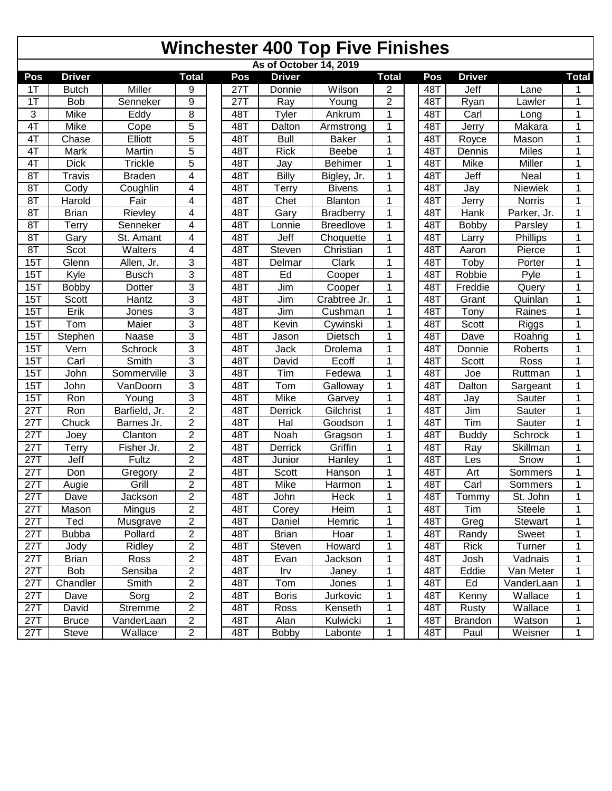## **Winchester 400 Top Five Finishes**

| As of October 14, 2019 |                     |                |                |  |                  |               |                  |                |  |     |                |              |              |
|------------------------|---------------------|----------------|----------------|--|------------------|---------------|------------------|----------------|--|-----|----------------|--------------|--------------|
| Pos                    | <b>Driver</b>       |                | <b>Total</b>   |  | Pos              | <b>Driver</b> |                  | <b>Total</b>   |  | Pos | <b>Driver</b>  |              | <b>Total</b> |
| 1T                     | <b>Butch</b>        | <b>Miller</b>  | 9              |  | 27T              | Donnie        | Wilson           | 2              |  | 48T | Jeff           | Lane         |              |
| 1T                     | <b>Bob</b>          | Senneker       | $\overline{9}$ |  | $27\overline{7}$ | Ray           | Young            | $\overline{2}$ |  | 48T | Ryan           | Lawler       | 1            |
| $\overline{3}$         | Mike                | Eddy           | 8              |  | 48T              | <b>Tyler</b>  | Ankrum           | $\mathbf 1$    |  | 48T | Carl           | Long         | 1            |
| 4T                     | Mike                | Cope           | $\overline{5}$ |  | 48T              | Dalton        | Armstrong        | $\mathbf 1$    |  | 48T | Jerry          | Makara       | 1            |
| 4T                     | Chase               | Elliott        | 5              |  | 48T              | <b>Bull</b>   | <b>Baker</b>     | $\mathbf 1$    |  | 48T | Royce          | Mason        | 1            |
| 4T                     | Mark                | Martin         | 5              |  | 48T              | <b>Rick</b>   | Beebe            | 1              |  | 48T | Dennis         | <b>Miles</b> | 1            |
| 4T                     | <b>Dick</b>         | <b>Trickle</b> | 5              |  | $48\overline{1}$ | Jay           | <b>Behimer</b>   | 1              |  | 48T | Mike           | Miller       | 1            |
| 8T                     | Travis              | <b>Braden</b>  | 4              |  | 48T              | <b>Billy</b>  | Bigley, Jr.      | 1              |  | 48T | Jeff           | Neal         | 1            |
| 8T                     | Cody                | Coughlin       | 4              |  | 48T              | <b>Terry</b>  | <b>Bivens</b>    | $\mathbf{1}$   |  | 48T | Jay            | Niewiek      | 1            |
| 8T                     | Harold              | Fair           | 4              |  | 48T              | Chet          | Blanton          | 1              |  | 48T | Jerry          | Norris       | 1            |
| 8T                     | <b>Brian</b>        | Rievley        | 4              |  | 48T              | Gary          | <b>Bradberry</b> | $\mathbf{1}$   |  | 48T | Hank           | Parker, Jr.  | 1            |
| 8T                     | Terry               | Senneker       | 4              |  | 48T              | Lonnie        | <b>Breedlove</b> | 1              |  | 48T | <b>Bobby</b>   | Parsley      | 1            |
| 8T                     | Gary                | St. Amant      | 4              |  | 48T              | Jeff          | Choquette        | $\mathbf{1}$   |  | 48T | Larry          | Phillips     | 1            |
| 8T                     | Scot                | Walters        | 4              |  | 48T              | Steven        | Christian        | 1              |  | 48T | Aaron          | Pierce       | 1            |
| 15T                    | Glenn               | Allen, Jr.     | 3              |  | 48T              | Delmar        | Clark            | 1              |  | 48T | Toby           | Porter       | 1            |
| 15T                    | Kyle                | <b>Busch</b>   | $\overline{3}$ |  | 48T              | Ed            | Cooper           | $\mathbf 1$    |  | 48T | Robbie         | Pyle         | 1            |
| 15T                    | <b>Bobby</b>        | Dotter         | 3              |  | 48T              | Jim           | Cooper           | $\mathbf{1}$   |  | 48T | Freddie        | Query        | 1            |
| 15T                    | <b>Scott</b>        | Hantz          | 3              |  | 48T              | Jim           | Crabtree Jr.     | $\mathbf{1}$   |  | 48T | Grant          | Quinlan      | 1            |
| 15T                    | Erik                | Jones          | 3              |  | 48T              | Jim           | Cushman          | 1              |  | 48T | Tony           | Raines       | 1            |
| 15T                    | Tom                 | Maier          | $\overline{3}$ |  | 48T              | Kevin         | Cywinski         | 1              |  | 48T | Scott          | Riggs        | 1            |
| 15T                    | Stephen             | Naase          | 3              |  | 48T              | Jason         | Dietsch          | $\mathbf 1$    |  | 48T | Dave           | Roahrig      | 1            |
| 15T                    | Vern                | Schrock        | 3              |  | 48T              | Jack          | Drolema          | 1              |  | 48T | Donnie         | Roberts      | 1            |
| 15T                    | Carl                | Smith          | 3              |  | 48T              | David         | Ecoff            | 1              |  | 48T | Scott          | Ross         | 1            |
| 15T                    | $\overline{J}$ ohn  | Sommerville    | 3              |  | 48T              | Tim           | Fedewa           | $\mathbf 1$    |  | 48T | Joe            | Ruttman      | 1            |
| 15T                    | John                | VanDoorn       | 3              |  | 48T              | Tom           | Galloway         | $\mathbf 1$    |  | 48T | Dalton         | Sargeant     | 1            |
| 15T                    | Ron                 | Young          | $\overline{3}$ |  | 48T              | <b>Mike</b>   | Garvey           | $\mathbf{1}$   |  | 48T | Jay            | Sauter       | 1            |
| 27T                    | Ron                 | Barfield, Jr.  | $\overline{2}$ |  | 48T              | Derrick       | Gilchrist        | 1              |  | 48T | Jim            | Sauter       | 1            |
| 27T                    | Chuck               | Barnes Jr.     | $\overline{2}$ |  | 48T              | Hal           | Goodson          | $\mathbf{1}$   |  | 48T | Tim            | Sauter       | 1            |
| 27T                    | Joey                | Clanton        | $\overline{2}$ |  | 48T              | Noah          | Gragson          | 1              |  | 48T | <b>Buddy</b>   | Schrock      | 1            |
| 27T                    | $\overline{T}$ erry | Fisher Jr.     | $\overline{2}$ |  | 48T              | Derrick       | Griffin          | $\mathbf{1}$   |  | 48T | Ray            | Skillman     | 1            |
| 27T                    | Jeff                | Fultz          | $\overline{2}$ |  | 48T              | Junior        | Hanley           | 1              |  | 48T | Les            | Snow         | 1            |
| 27T                    | Don                 | Gregory        | $\overline{2}$ |  | 48T              | Scott         | Hanson           | 1              |  | 48T | Art            | Sommers      | 1            |
| 27T                    | Augie               | Grill          | $\overline{2}$ |  | 48T              | Mike          | Harmon           | $\mathbf{1}$   |  | 48T | Carl           | Sommers      | $\mathbf 1$  |
| 27T                    | Dave                | Jackson        | $\overline{2}$ |  | 48T              | John          | Heck             | 1              |  | 48T | Tommy          | St. John     | 1            |
| 27T                    | Mason               | Mingus         | $\overline{2}$ |  | 48T              | Corey         | Heim             | 1              |  | 48T | Tim            | Steele       |              |
| 27T                    | Ted                 | Musgrave       | $\overline{2}$ |  | 48T              | Daniel        | Hemric           | $\mathbf{1}$   |  | 48T | Greg           | Stewart      | 1            |
| 27T                    | <b>Bubba</b>        | Pollard        | $\overline{2}$ |  | 48T              | <b>Brian</b>  | Hoar             | 1              |  | 48T | Randy          | Sweet        | 1            |
| 27T                    | Jody                | Ridley         | $\overline{2}$ |  | 48T              | Steven        | Howard           | 1              |  | 48T | Rick           | Turner       | 1            |
| 27T                    | <b>Brian</b>        | Ross           | $\overline{2}$ |  | 48T              | Evan          | Jackson          | 1              |  | 48T | Josh           | Vadnais      | 1            |
| 27T                    | <b>Bob</b>          | Sensiba        | $\overline{2}$ |  | 48T              | Irv           | Janey            | 1              |  | 48T | Eddie          | Van Meter    | 1            |
| 27T                    | Chandler            | Smith          | $\overline{2}$ |  | 48T              | Tom           | Jones            | 1              |  | 48T | Ed             | VanderLaan   | 1            |
| 27T                    | Dave                | Sorg           | $\overline{2}$ |  | 48T              | <b>Boris</b>  | Jurkovic         | 1              |  | 48T | Kenny          | Wallace      | 1            |
| 27T                    | David               | Stremme        | $\overline{2}$ |  | 48T              | Ross          | Kenseth          | 1              |  | 48T | Rusty          | Wallace      | 1            |
| 27T                    | <b>Bruce</b>        | VanderLaan     | $\overline{2}$ |  | 48T              | Alan          | Kulwicki         | 1              |  | 48T | <b>Brandon</b> | Watson       | 1            |
| 27T                    | Steve               | Wallace        | $\overline{2}$ |  | 48T              | <b>Bobby</b>  | Labonte          | 1              |  | 48T | Paul           | Weisner      | 1            |